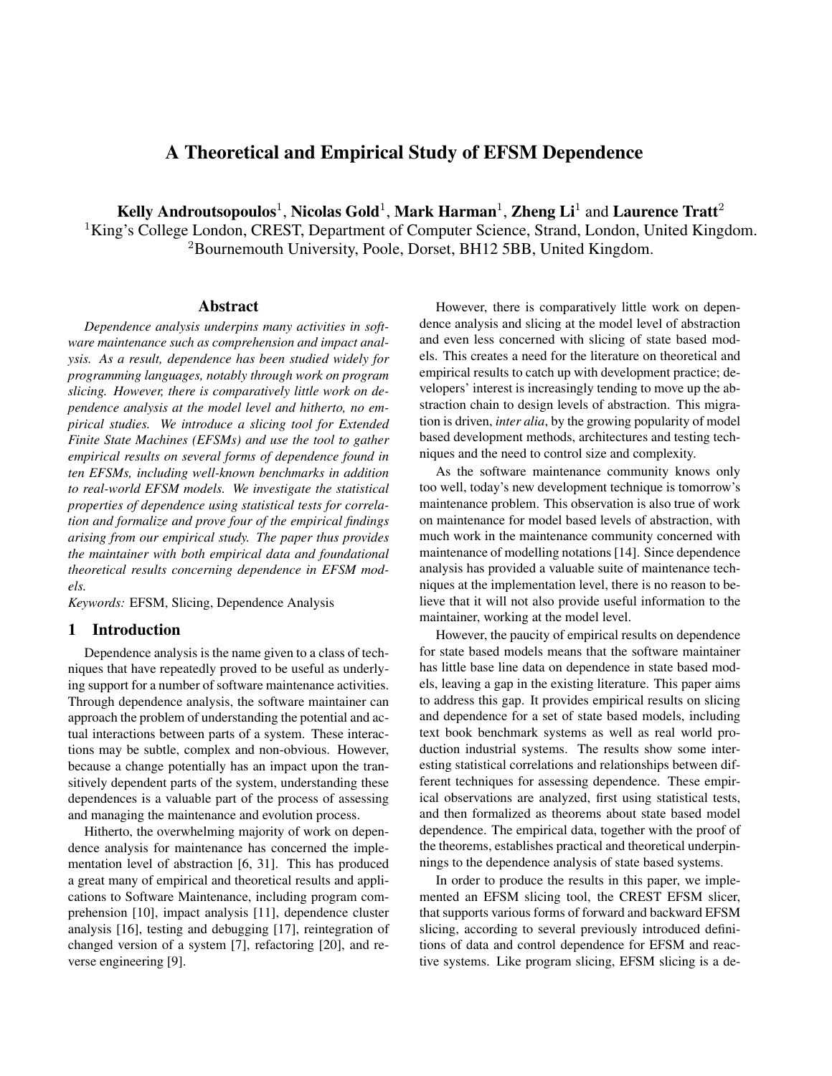# A Theoretical and Empirical Study of EFSM Dependence

Kelly Androutsopoulos<sup>1</sup>, Nicolas Gold<sup>1</sup>, Mark Harman<sup>1</sup>, Zheng Li<sup>1</sup> and Laurence Tratt<sup>2</sup> <sup>1</sup>King's College London, CREST, Department of Computer Science, Strand, London, United Kingdom. <sup>2</sup>Bournemouth University, Poole, Dorset, BH12 5BB, United Kingdom.

# Abstract

*Dependence analysis underpins many activities in software maintenance such as comprehension and impact analysis. As a result, dependence has been studied widely for programming languages, notably through work on program slicing. However, there is comparatively little work on dependence analysis at the model level and hitherto, no empirical studies. We introduce a slicing tool for Extended Finite State Machines (EFSMs) and use the tool to gather empirical results on several forms of dependence found in ten EFSMs, including well-known benchmarks in addition to real-world EFSM models. We investigate the statistical properties of dependence using statistical tests for correlation and formalize and prove four of the empirical findings arising from our empirical study. The paper thus provides the maintainer with both empirical data and foundational theoretical results concerning dependence in EFSM models.*

*Keywords:* EFSM, Slicing, Dependence Analysis

# 1 Introduction

Dependence analysis is the name given to a class of techniques that have repeatedly proved to be useful as underlying support for a number of software maintenance activities. Through dependence analysis, the software maintainer can approach the problem of understanding the potential and actual interactions between parts of a system. These interactions may be subtle, complex and non-obvious. However, because a change potentially has an impact upon the transitively dependent parts of the system, understanding these dependences is a valuable part of the process of assessing and managing the maintenance and evolution process.

Hitherto, the overwhelming majority of work on dependence analysis for maintenance has concerned the implementation level of abstraction [6, 31]. This has produced a great many of empirical and theoretical results and applications to Software Maintenance, including program comprehension [10], impact analysis [11], dependence cluster analysis [16], testing and debugging [17], reintegration of changed version of a system [7], refactoring [20], and reverse engineering [9].

However, there is comparatively little work on dependence analysis and slicing at the model level of abstraction and even less concerned with slicing of state based models. This creates a need for the literature on theoretical and empirical results to catch up with development practice; developers' interest is increasingly tending to move up the abstraction chain to design levels of abstraction. This migration is driven, *inter alia*, by the growing popularity of model based development methods, architectures and testing techniques and the need to control size and complexity.

As the software maintenance community knows only too well, today's new development technique is tomorrow's maintenance problem. This observation is also true of work on maintenance for model based levels of abstraction, with much work in the maintenance community concerned with maintenance of modelling notations [14]. Since dependence analysis has provided a valuable suite of maintenance techniques at the implementation level, there is no reason to believe that it will not also provide useful information to the maintainer, working at the model level.

However, the paucity of empirical results on dependence for state based models means that the software maintainer has little base line data on dependence in state based models, leaving a gap in the existing literature. This paper aims to address this gap. It provides empirical results on slicing and dependence for a set of state based models, including text book benchmark systems as well as real world production industrial systems. The results show some interesting statistical correlations and relationships between different techniques for assessing dependence. These empirical observations are analyzed, first using statistical tests, and then formalized as theorems about state based model dependence. The empirical data, together with the proof of the theorems, establishes practical and theoretical underpinnings to the dependence analysis of state based systems.

In order to produce the results in this paper, we implemented an EFSM slicing tool, the CREST EFSM slicer, that supports various forms of forward and backward EFSM slicing, according to several previously introduced definitions of data and control dependence for EFSM and reactive systems. Like program slicing, EFSM slicing is a de-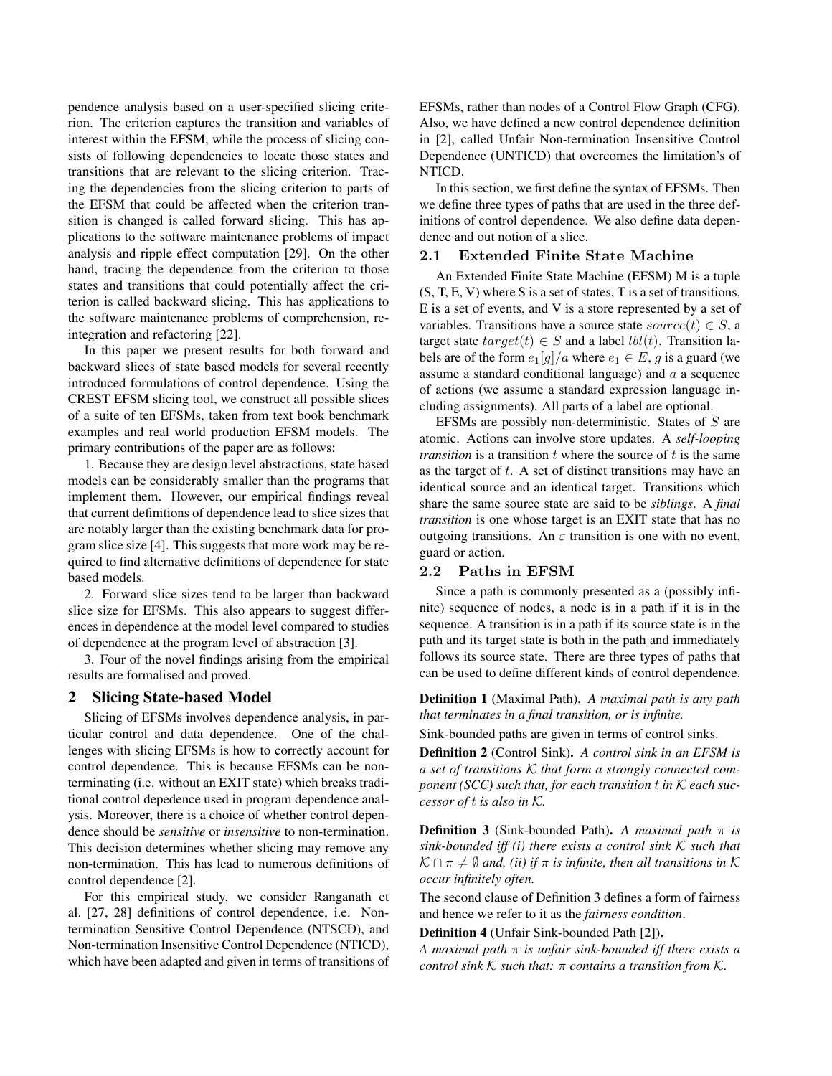pendence analysis based on a user-specified slicing criterion. The criterion captures the transition and variables of interest within the EFSM, while the process of slicing consists of following dependencies to locate those states and transitions that are relevant to the slicing criterion. Tracing the dependencies from the slicing criterion to parts of the EFSM that could be affected when the criterion transition is changed is called forward slicing. This has applications to the software maintenance problems of impact analysis and ripple effect computation [29]. On the other hand, tracing the dependence from the criterion to those states and transitions that could potentially affect the criterion is called backward slicing. This has applications to the software maintenance problems of comprehension, reintegration and refactoring [22].

In this paper we present results for both forward and backward slices of state based models for several recently introduced formulations of control dependence. Using the CREST EFSM slicing tool, we construct all possible slices of a suite of ten EFSMs, taken from text book benchmark examples and real world production EFSM models. The primary contributions of the paper are as follows:

1. Because they are design level abstractions, state based models can be considerably smaller than the programs that implement them. However, our empirical findings reveal that current definitions of dependence lead to slice sizes that are notably larger than the existing benchmark data for program slice size [4]. This suggests that more work may be required to find alternative definitions of dependence for state based models.

2. Forward slice sizes tend to be larger than backward slice size for EFSMs. This also appears to suggest differences in dependence at the model level compared to studies of dependence at the program level of abstraction [3].

3. Four of the novel findings arising from the empirical results are formalised and proved.

# 2 Slicing State-based Model

Slicing of EFSMs involves dependence analysis, in particular control and data dependence. One of the challenges with slicing EFSMs is how to correctly account for control dependence. This is because EFSMs can be nonterminating (i.e. without an EXIT state) which breaks traditional control depedence used in program dependence analysis. Moreover, there is a choice of whether control dependence should be *sensitive* or *insensitive* to non-termination. This decision determines whether slicing may remove any non-termination. This has lead to numerous definitions of control dependence [2].

For this empirical study, we consider Ranganath et al. [27, 28] definitions of control dependence, i.e. Nontermination Sensitive Control Dependence (NTSCD), and Non-termination Insensitive Control Dependence (NTICD), which have been adapted and given in terms of transitions of EFSMs, rather than nodes of a Control Flow Graph (CFG). Also, we have defined a new control dependence definition in [2], called Unfair Non-termination Insensitive Control Dependence (UNTICD) that overcomes the limitation's of NTICD.

In this section, we first define the syntax of EFSMs. Then we define three types of paths that are used in the three definitions of control dependence. We also define data dependence and out notion of a slice.

### 2.1 Extended Finite State Machine

An Extended Finite State Machine (EFSM) M is a tuple  $(S, T, E, V)$  where S is a set of states, T is a set of transitions, E is a set of events, and V is a store represented by a set of variables. Transitions have a source state  $source(t) \in S$ , a target state  $target(t) \in S$  and a label  $\text{lb}(t)$ . Transition labels are of the form  $e_1[g]/a$  where  $e_1 \in E$ , g is a guard (we assume a standard conditional language) and a a sequence of actions (we assume a standard expression language including assignments). All parts of a label are optional.

EFSMs are possibly non-deterministic. States of S are atomic. Actions can involve store updates. A *self-looping transition* is a transition  $t$  where the source of  $t$  is the same as the target of  $t$ . A set of distinct transitions may have an identical source and an identical target. Transitions which share the same source state are said to be *siblings*. A *final transition* is one whose target is an EXIT state that has no outgoing transitions. An  $\varepsilon$  transition is one with no event, guard or action.

#### 2.2 Paths in EFSM

Since a path is commonly presented as a (possibly infinite) sequence of nodes, a node is in a path if it is in the sequence. A transition is in a path if its source state is in the path and its target state is both in the path and immediately follows its source state. There are three types of paths that can be used to define different kinds of control dependence.

Definition 1 (Maximal Path). *A maximal path is any path that terminates in a final transition, or is infinite.*

Sink-bounded paths are given in terms of control sinks.

Definition 2 (Control Sink). *A control sink in an EFSM is a set of transitions* K *that form a strongly connected component (SCC) such that, for each transition* t *in* K *each successor of* t *is also in* K*.*

**Definition 3** (Sink-bounded Path). *A maximal path*  $\pi$  *is sink-bounded iff (i) there exists a control sink* K *such that*  $K \cap \pi \neq \emptyset$  and, (ii) if  $\pi$  is infinite, then all transitions in K *occur infinitely often.*

The second clause of Definition 3 defines a form of fairness and hence we refer to it as the *fairness condition*.

Definition 4 (Unfair Sink-bounded Path [2]).

*A maximal path* π *is unfair sink-bounded iff there exists a control sink*  $K$  *such that:*  $\pi$  *contains a transition from*  $K$ *.*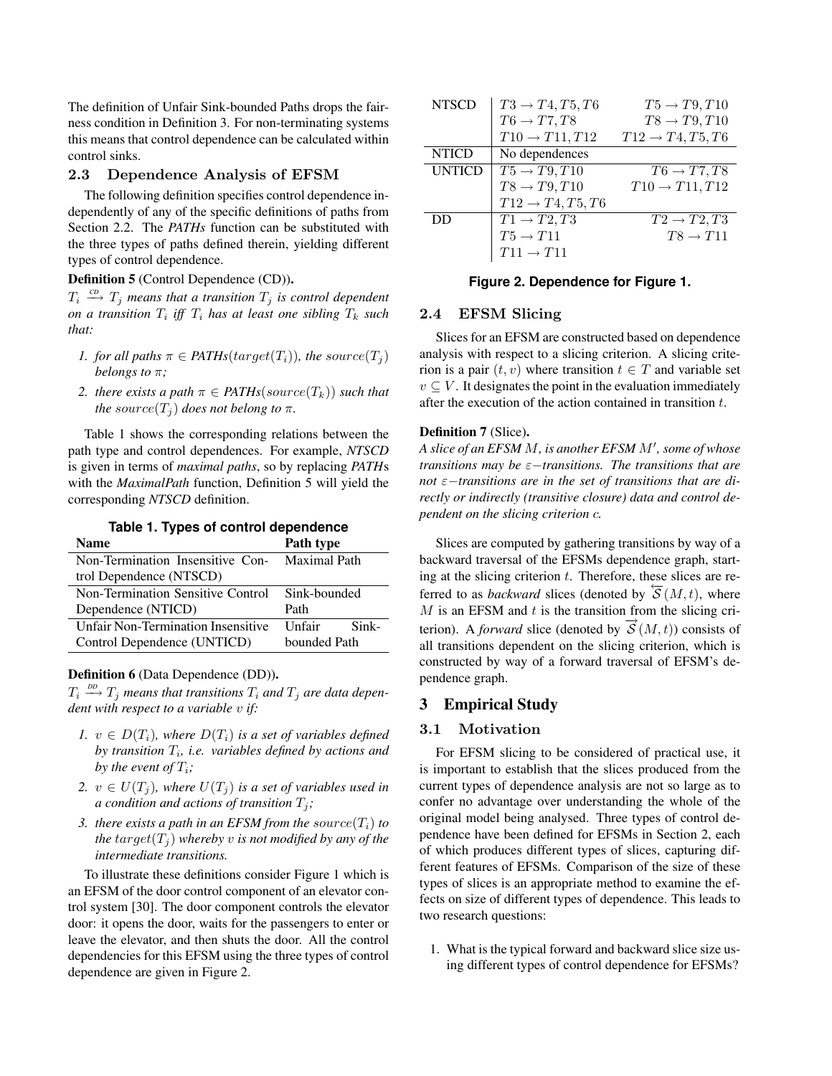The definition of Unfair Sink-bounded Paths drops the fairness condition in Definition 3. For non-terminating systems this means that control dependence can be calculated within control sinks.

## 2.3 Dependence Analysis of EFSM

The following definition specifies control dependence independently of any of the specific definitions of paths from Section 2.2. The *PATHs* function can be substituted with the three types of paths defined therein, yielding different types of control dependence.

### Definition 5 (Control Dependence (CD)).

 $T_i \stackrel{CD}{\longrightarrow} T_j$  means that a transition  $T_j$  is control dependent *on a transition*  $T_i$  *iff*  $T_i$  *has at least one sibling*  $T_k$  *such that:*

- *1. for all paths*  $\pi \in \text{PATHs}(target(T_i))$ *, the source* $(T_i)$ *belongs to* π*;*
- *2. there exists a path*  $\pi \in \text{PATHs}(source(T_k))$  *such that the source* $(T_i)$  *does not belong to*  $\pi$ *.*

Table 1 shows the corresponding relations between the path type and control dependences. For example, *NTSCD* is given in terms of *maximal paths*, so by replacing *PATH*s with the *MaximalPath* function, Definition 5 will yield the corresponding *NTSCD* definition.

|  |  |  |  | Table 1. Types of control dependence |  |  |  |
|--|--|--|--|--------------------------------------|--|--|--|
|--|--|--|--|--------------------------------------|--|--|--|

| <b>Name</b>                               | Path type       |  |  |
|-------------------------------------------|-----------------|--|--|
| Non-Termination Insensitive Con-          | Maximal Path    |  |  |
| trol Dependence (NTSCD)                   |                 |  |  |
| Non-Termination Sensitive Control         | Sink-bounded    |  |  |
| Dependence (NTICD)                        | Path            |  |  |
| <b>Unfair Non-Termination Insensitive</b> | Unfair<br>Sink- |  |  |
| Control Dependence (UNTICD)               | bounded Path    |  |  |

# Definition 6 (Data Dependence (DD)).

 $T_i \stackrel{\textit{DD}}{\longrightarrow} T_j$  means that transitions  $T_i$  and  $T_j$  are data depen*dent with respect to a variable v if:* 

- *1.*  $v \in D(T_i)$ , where  $D(T_i)$  *is a set of variables defined* by transition  $T_i$ , *i.e.* variables defined by actions and *by the event of*  $T_i$ *;*
- 2.  $v \in U(T_i)$ *, where*  $U(T_i)$  *is a set of variables used in a condition and actions of transition*  $T_j$ ;
- *3. there exists a path in an EFSM from the source* $(T_i)$  *to the target* $(T_j)$  *whereby v is not modified by any of the intermediate transitions.*

To illustrate these definitions consider Figure 1 which is an EFSM of the door control component of an elevator control system [30]. The door component controls the elevator door: it opens the door, waits for the passengers to enter or leave the elevator, and then shuts the door. All the control dependencies for this EFSM using the three types of control dependence are given in Figure 2.

| <b>NTSCD</b>  | $T3 \rightarrow T4, T5, T6$  | $T5 \rightarrow T9, T10$     |
|---------------|------------------------------|------------------------------|
|               | $T6 \rightarrow T7, T8$      | $T8 \rightarrow T9, T10$     |
|               | $T10 \rightarrow T11, T12$   | $T12 \rightarrow T4, T5, T6$ |
| <b>NTICD</b>  | No dependences               |                              |
| <b>UNTICD</b> | $T5 \rightarrow T9, T10$     | $T6 \rightarrow T7, T8$      |
|               | $T8 \rightarrow T9, T10$     | $T10 \rightarrow T11, T12$   |
|               | $T12 \rightarrow T4, T5, T6$ |                              |
| DD            | $T1 \rightarrow T2, T3$      | $T2 \rightarrow T2, T3$      |
|               | $T5 \rightarrow T11$         | $T8 \rightarrow T11$         |
|               | $T11 \rightarrow T11$        |                              |

#### **Figure 2. Dependence for Figure 1.**

# 2.4 EFSM Slicing

Slices for an EFSM are constructed based on dependence analysis with respect to a slicing criterion. A slicing criterion is a pair  $(t, v)$  where transition  $t \in T$  and variable set  $v \subseteq V$ . It designates the point in the evaluation immediately after the execution of the action contained in transition t.

#### Definition 7 (Slice).

*A slice of an EFSM* M*, is another EFSM* M′ *, some of whose transitions may be* ε−*transitions. The transitions that are not*  $ε$ −*transitions are in the set of transitions that are directly or indirectly (transitive closure) data and control dependent on the slicing criterion* c*.*

Slices are computed by gathering transitions by way of a backward traversal of the EFSMs dependence graph, starting at the slicing criterion  $t$ . Therefore, these slices are referred to as *backward* slices (denoted by  $S(M, t)$ , where  $M$  is an EFSM and  $t$  is the transition from the slicing criterion). A *forward* slice (denoted by  $\vec{S}(M,t)$ ) consists of all transitions dependent on the slicing criterion, which is constructed by way of a forward traversal of EFSM's dependence graph.

# 3 Empirical Study

#### 3.1 Motivation

For EFSM slicing to be considered of practical use, it is important to establish that the slices produced from the current types of dependence analysis are not so large as to confer no advantage over understanding the whole of the original model being analysed. Three types of control dependence have been defined for EFSMs in Section 2, each of which produces different types of slices, capturing different features of EFSMs. Comparison of the size of these types of slices is an appropriate method to examine the effects on size of different types of dependence. This leads to two research questions:

1. What is the typical forward and backward slice size using different types of control dependence for EFSMs?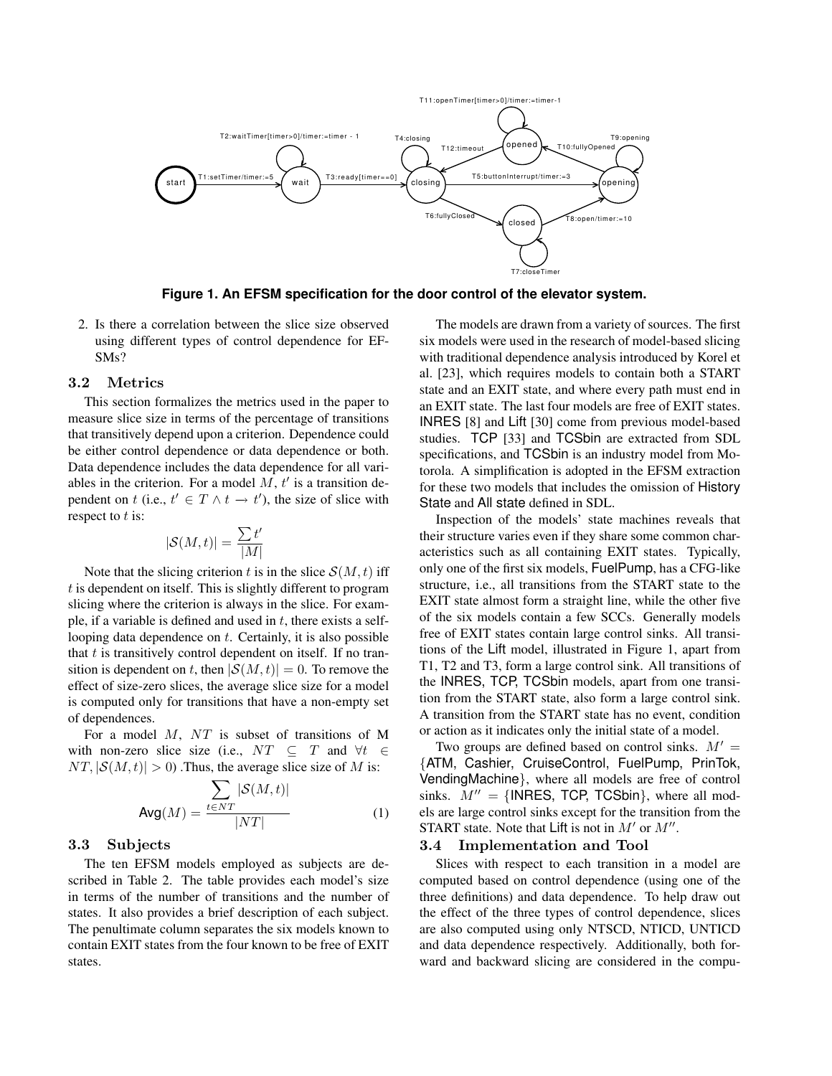

**Figure 1. An EFSM specification for the door control of the elevator system.**

2. Is there a correlation between the slice size observed using different types of control dependence for EF-SMs?

## 3.2 Metrics

This section formalizes the metrics used in the paper to measure slice size in terms of the percentage of transitions that transitively depend upon a criterion. Dependence could be either control dependence or data dependence or both. Data dependence includes the data dependence for all variables in the criterion. For a model  $M$ ,  $t'$  is a transition dependent on  $t$  (i.e.,  $t' \in T \wedge t \to t'$ ), the size of slice with respect to  $t$  is:

$$
|\mathcal{S}(M,t)| = \frac{\sum t'}{|M|}
$$

Note that the slicing criterion t is in the slice  $\mathcal{S}(M, t)$  iff  $t$  is dependent on itself. This is slightly different to program slicing where the criterion is always in the slice. For example, if a variable is defined and used in  $t$ , there exists a selflooping data dependence on  $t$ . Certainly, it is also possible that  $t$  is transitively control dependent on itself. If no transition is dependent on t, then  $|S(M, t)| = 0$ . To remove the effect of size-zero slices, the average slice size for a model is computed only for transitions that have a non-empty set of dependences.

For a model M, NT is subset of transitions of M with non-zero slice size (i.e.,  $NT \subseteq T$  and  $\forall t \in$  $NT, |\mathcal{S}(M, t)| > 0$ . Thus, the average slice size of M is:

$$
\mathsf{Avg}(M) = \frac{\sum_{t \in NT} |\mathcal{S}(M, t)|}{|NT|} \tag{1}
$$

#### 3.3 Subjects

The ten EFSM models employed as subjects are described in Table 2. The table provides each model's size in terms of the number of transitions and the number of states. It also provides a brief description of each subject. The penultimate column separates the six models known to contain EXIT states from the four known to be free of EXIT states.

The models are drawn from a variety of sources. The first six models were used in the research of model-based slicing with traditional dependence analysis introduced by Korel et al. [23], which requires models to contain both a START state and an EXIT state, and where every path must end in an EXIT state. The last four models are free of EXIT states. INRES [8] and Lift [30] come from previous model-based studies. TCP [33] and TCSbin are extracted from SDL specifications, and TCSbin is an industry model from Motorola. A simplification is adopted in the EFSM extraction for these two models that includes the omission of History State and All state defined in SDL.

Inspection of the models' state machines reveals that their structure varies even if they share some common characteristics such as all containing EXIT states. Typically, only one of the first six models, FuelPump, has a CFG-like structure, i.e., all transitions from the START state to the EXIT state almost form a straight line, while the other five of the six models contain a few SCCs. Generally models free of EXIT states contain large control sinks. All transitions of the Lift model, illustrated in Figure 1, apart from T1, T2 and T3, form a large control sink. All transitions of the INRES, TCP, TCSbin models, apart from one transition from the START state, also form a large control sink. A transition from the START state has no event, condition or action as it indicates only the initial state of a model.

Two groups are defined based on control sinks.  $M' =$ {ATM, Cashier, CruiseControl, FuelPump, PrinTok, VendingMachine}, where all models are free of control sinks.  $M'' = \{INRES, TCP, TCSbin\}$ , where all models are large control sinks except for the transition from the START state. Note that Lift is not in  $M'$  or  $M''$ .

#### 3.4 Implementation and Tool

Slices with respect to each transition in a model are computed based on control dependence (using one of the three definitions) and data dependence. To help draw out the effect of the three types of control dependence, slices are also computed using only NTSCD, NTICD, UNTICD and data dependence respectively. Additionally, both forward and backward slicing are considered in the compu-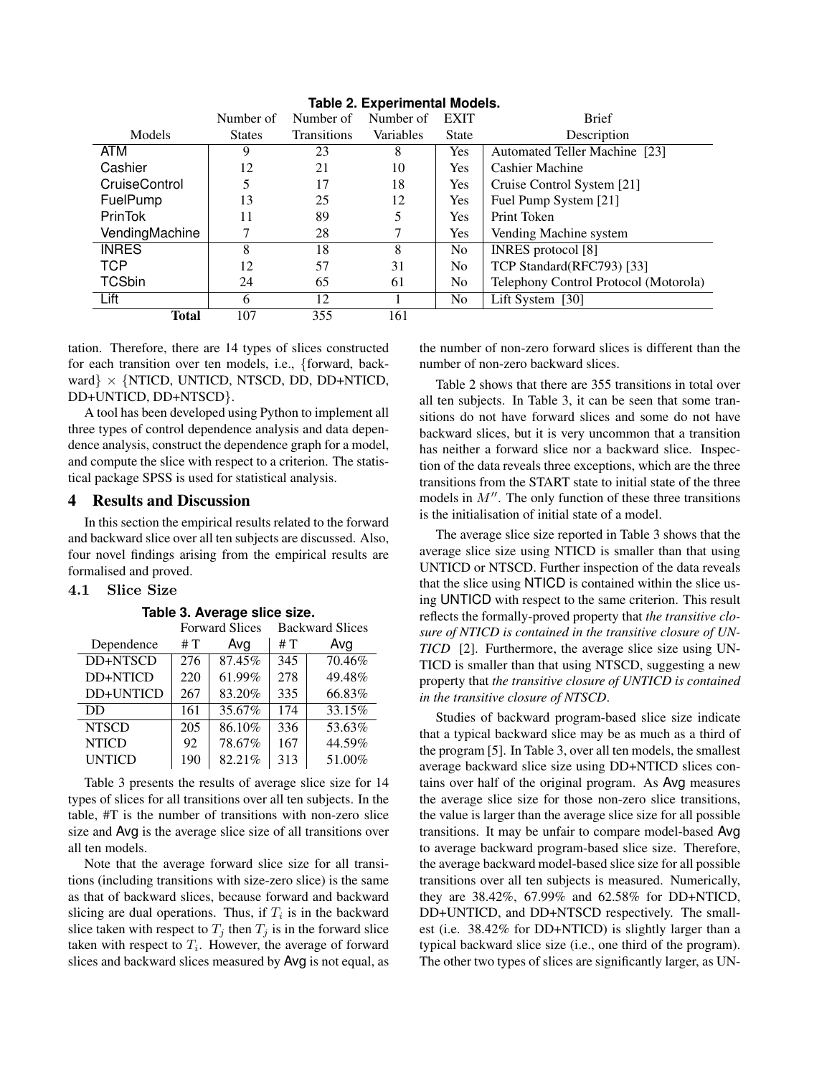|                | Number of     | Number of          | Number of | <b>EXIT</b>    | <b>Brief</b>                          |
|----------------|---------------|--------------------|-----------|----------------|---------------------------------------|
| Models         | <b>States</b> | <b>Transitions</b> | Variables | <b>State</b>   | Description                           |
| ATM            | 9             | 23                 | 8         | Yes            | <b>Automated Teller Machine [23]</b>  |
| Cashier        | 12            | 21                 | 10        | Yes            | <b>Cashier Machine</b>                |
| CruiseControl  | 5             | 17                 | 18        | Yes            | Cruise Control System [21]            |
| FuelPump       | 13            | 25                 | 12        | Yes            | Fuel Pump System [21]                 |
| PrinTok        | 11            | 89                 | 5         | Yes            | Print Token                           |
| VendingMachine | 7             | 28                 | 7         | Yes            | Vending Machine system                |
| <b>INRES</b>   | 8             | 18                 | 8         | N <sub>0</sub> | INRES protocol [8]                    |
| <b>TCP</b>     | 12            | 57                 | 31        | N <sub>0</sub> | TCP Standard(RFC793) [33]             |
| <b>TCSbin</b>  | 24            | 65                 | 61        | N <sub>0</sub> | Telephony Control Protocol (Motorola) |
| Lift           | 6             | 12                 |           | N <sub>0</sub> | Lift System $[30]$                    |
| <b>Total</b>   | 107           | 355                | 161       |                |                                       |

### **Table 2. Experimental Models.**

tation. Therefore, there are 14 types of slices constructed for each transition over ten models, i.e., {forward, backward $\}$   $\times$  {NTICD, UNTICD, NTSCD, DD, DD+NTICD, DD+UNTICD, DD+NTSCD}.

A tool has been developed using Python to implement all three types of control dependence analysis and data dependence analysis, construct the dependence graph for a model, and compute the slice with respect to a criterion. The statistical package SPSS is used for statistical analysis.

# 4 Results and Discussion

In this section the empirical results related to the forward and backward slice over all ten subjects are discussed. Also, four novel findings arising from the empirical results are formalised and proved.

# 4.1 Slice Size

|               |              | <b>Forward Slices</b> | <b>Backward Slices</b> |        |  |
|---------------|--------------|-----------------------|------------------------|--------|--|
| Dependence    | Ava<br># $T$ |                       | # T                    | Avg    |  |
| DD+NTSCD      | 276          | 87.45%                | 345                    | 70.46% |  |
| DD+NTICD      | 220          | 61.99%                | 278                    | 49.48% |  |
| DD+UNTICD     | 267          | 83.20%                | 335                    | 66.83% |  |
| DD            | 161          | 35.67%                | 174                    | 33.15% |  |
| <b>NTSCD</b>  | 205          | 86.10%                | 336                    | 53.63% |  |
| <b>NTICD</b>  | 92           | 78.67%                | 167                    | 44.59% |  |
| <b>UNTICD</b> | 190          | 82.21%                | 313                    | 51.00% |  |

**Table 3. Average slice size.**

Table 3 presents the results of average slice size for 14 types of slices for all transitions over all ten subjects. In the table, #T is the number of transitions with non-zero slice size and Avg is the average slice size of all transitions over all ten models.

Note that the average forward slice size for all transitions (including transitions with size-zero slice) is the same as that of backward slices, because forward and backward slicing are dual operations. Thus, if  $T_i$  is in the backward slice taken with respect to  $T_j$  then  $T_j$  is in the forward slice taken with respect to  $T_i$ . However, the average of forward slices and backward slices measured by Avg is not equal, as

the number of non-zero forward slices is different than the number of non-zero backward slices.

Table 2 shows that there are 355 transitions in total over all ten subjects. In Table 3, it can be seen that some transitions do not have forward slices and some do not have backward slices, but it is very uncommon that a transition has neither a forward slice nor a backward slice. Inspection of the data reveals three exceptions, which are the three transitions from the START state to initial state of the three models in  $M''$ . The only function of these three transitions is the initialisation of initial state of a model.

The average slice size reported in Table 3 shows that the average slice size using NTICD is smaller than that using UNTICD or NTSCD. Further inspection of the data reveals that the slice using NTICD is contained within the slice using UNTICD with respect to the same criterion. This result reflects the formally-proved property that *the transitive closure of NTICD is contained in the transitive closure of UN-TICD* [2]. Furthermore, the average slice size using UN-TICD is smaller than that using NTSCD, suggesting a new property that *the transitive closure of UNTICD is contained in the transitive closure of NTSCD*.

Studies of backward program-based slice size indicate that a typical backward slice may be as much as a third of the program [5]. In Table 3, over all ten models, the smallest average backward slice size using DD+NTICD slices contains over half of the original program. As Avg measures the average slice size for those non-zero slice transitions, the value is larger than the average slice size for all possible transitions. It may be unfair to compare model-based Avg to average backward program-based slice size. Therefore, the average backward model-based slice size for all possible transitions over all ten subjects is measured. Numerically, they are 38.42%, 67.99% and 62.58% for DD+NTICD, DD+UNTICD, and DD+NTSCD respectively. The smallest (i.e. 38.42% for DD+NTICD) is slightly larger than a typical backward slice size (i.e., one third of the program). The other two types of slices are significantly larger, as UN-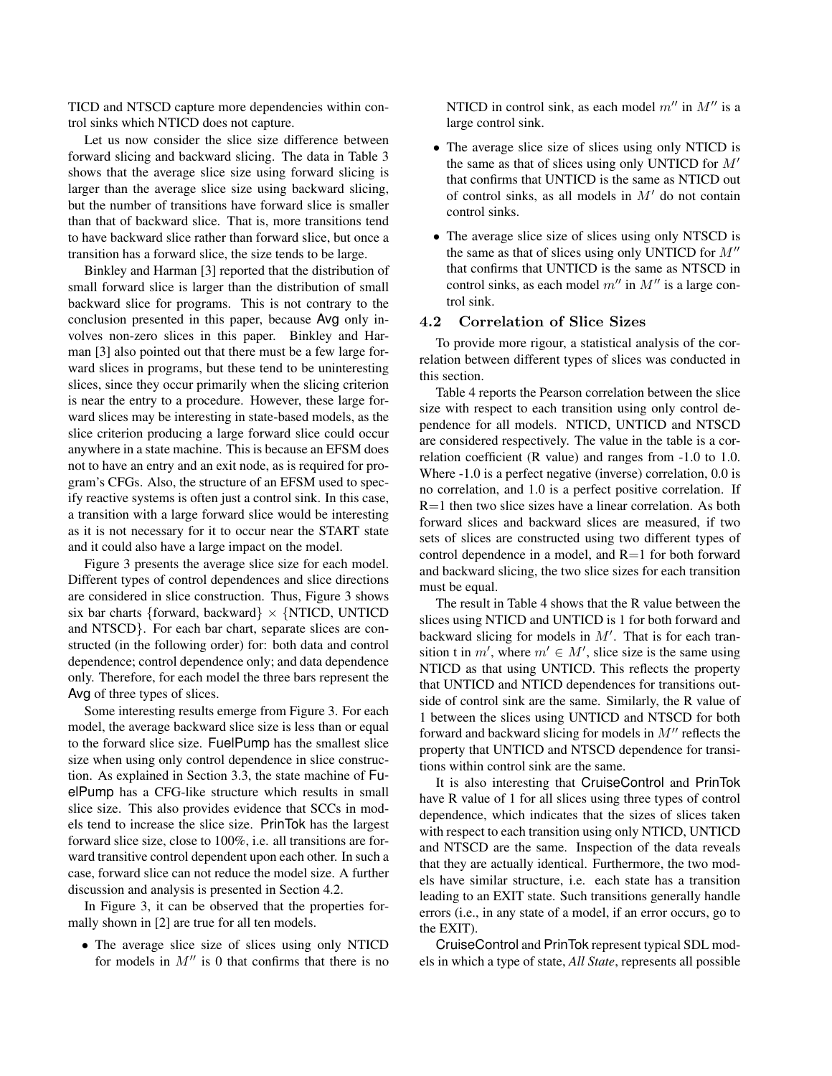TICD and NTSCD capture more dependencies within control sinks which NTICD does not capture.

Let us now consider the slice size difference between forward slicing and backward slicing. The data in Table 3 shows that the average slice size using forward slicing is larger than the average slice size using backward slicing, but the number of transitions have forward slice is smaller than that of backward slice. That is, more transitions tend to have backward slice rather than forward slice, but once a transition has a forward slice, the size tends to be large.

Binkley and Harman [3] reported that the distribution of small forward slice is larger than the distribution of small backward slice for programs. This is not contrary to the conclusion presented in this paper, because Avg only involves non-zero slices in this paper. Binkley and Harman [3] also pointed out that there must be a few large forward slices in programs, but these tend to be uninteresting slices, since they occur primarily when the slicing criterion is near the entry to a procedure. However, these large forward slices may be interesting in state-based models, as the slice criterion producing a large forward slice could occur anywhere in a state machine. This is because an EFSM does not to have an entry and an exit node, as is required for program's CFGs. Also, the structure of an EFSM used to specify reactive systems is often just a control sink. In this case, a transition with a large forward slice would be interesting as it is not necessary for it to occur near the START state and it could also have a large impact on the model.

Figure 3 presents the average slice size for each model. Different types of control dependences and slice directions are considered in slice construction. Thus, Figure 3 shows six bar charts {forward, backward}  $\times$  {NTICD, UNTICD} and NTSCD}. For each bar chart, separate slices are constructed (in the following order) for: both data and control dependence; control dependence only; and data dependence only. Therefore, for each model the three bars represent the Avg of three types of slices.

Some interesting results emerge from Figure 3. For each model, the average backward slice size is less than or equal to the forward slice size. FuelPump has the smallest slice size when using only control dependence in slice construction. As explained in Section 3.3, the state machine of FuelPump has a CFG-like structure which results in small slice size. This also provides evidence that SCCs in models tend to increase the slice size. PrinTok has the largest forward slice size, close to 100%, i.e. all transitions are forward transitive control dependent upon each other. In such a case, forward slice can not reduce the model size. A further discussion and analysis is presented in Section 4.2.

In Figure 3, it can be observed that the properties formally shown in [2] are true for all ten models.

• The average slice size of slices using only NTICD for models in  $M''$  is 0 that confirms that there is no NTICD in control sink, as each model  $m''$  in  $M''$  is a large control sink.

- The average slice size of slices using only NTICD is the same as that of slices using only UNTICD for  $M'$ that confirms that UNTICD is the same as NTICD out of control sinks, as all models in  $M'$  do not contain control sinks.
- The average slice size of slices using only NTSCD is the same as that of slices using only UNTICD for  $M''$ that confirms that UNTICD is the same as NTSCD in control sinks, as each model  $m''$  in  $M''$  is a large control sink.

# 4.2 Correlation of Slice Sizes

To provide more rigour, a statistical analysis of the correlation between different types of slices was conducted in this section.

Table 4 reports the Pearson correlation between the slice size with respect to each transition using only control dependence for all models. NTICD, UNTICD and NTSCD are considered respectively. The value in the table is a correlation coefficient (R value) and ranges from -1.0 to 1.0. Where -1.0 is a perfect negative (inverse) correlation, 0.0 is no correlation, and 1.0 is a perfect positive correlation. If R=1 then two slice sizes have a linear correlation. As both forward slices and backward slices are measured, if two sets of slices are constructed using two different types of control dependence in a model, and  $R=1$  for both forward and backward slicing, the two slice sizes for each transition must be equal.

The result in Table 4 shows that the R value between the slices using NTICD and UNTICD is 1 for both forward and backward slicing for models in  $M'$ . That is for each transition t in  $m'$ , where  $m' \in M'$ , slice size is the same using NTICD as that using UNTICD. This reflects the property that UNTICD and NTICD dependences for transitions outside of control sink are the same. Similarly, the R value of 1 between the slices using UNTICD and NTSCD for both forward and backward slicing for models in  $M''$  reflects the property that UNTICD and NTSCD dependence for transitions within control sink are the same.

It is also interesting that CruiseControl and PrinTok have R value of 1 for all slices using three types of control dependence, which indicates that the sizes of slices taken with respect to each transition using only NTICD, UNTICD and NTSCD are the same. Inspection of the data reveals that they are actually identical. Furthermore, the two models have similar structure, i.e. each state has a transition leading to an EXIT state. Such transitions generally handle errors (i.e., in any state of a model, if an error occurs, go to the EXIT).

CruiseControl and PrinTok represent typical SDL models in which a type of state, *All State*, represents all possible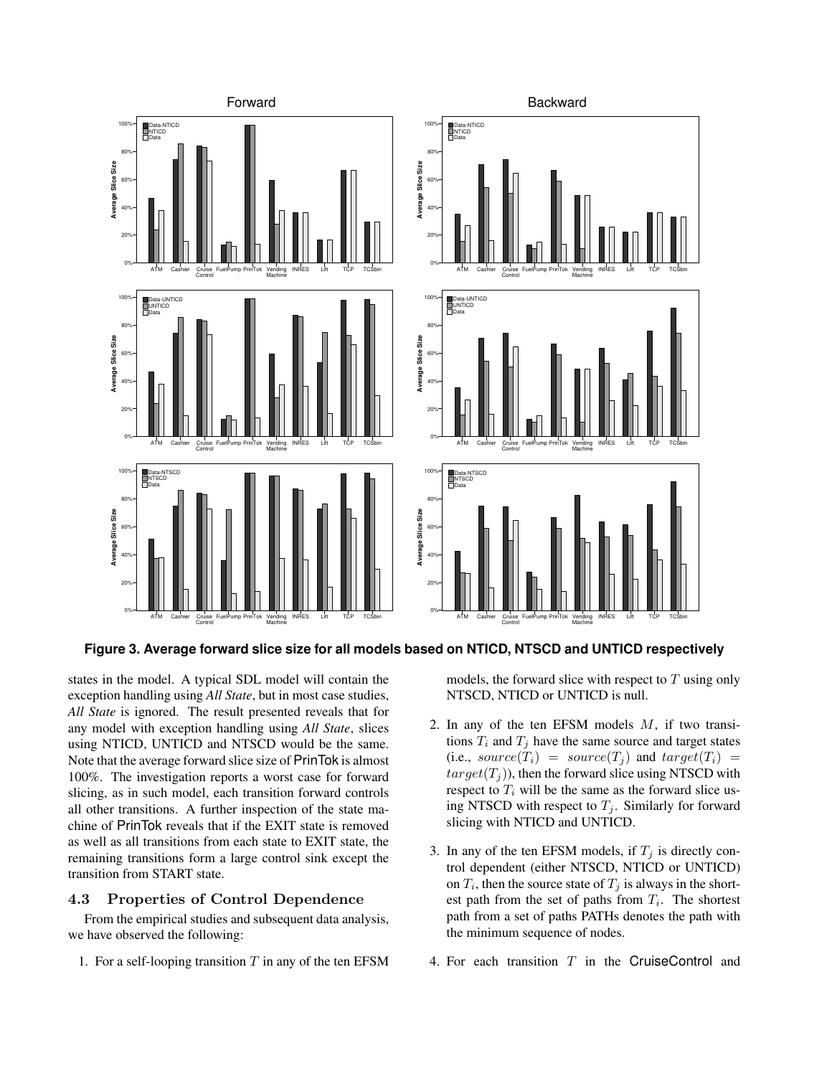

# **Figure 3. Average forward slice size for all models based on NTICD, NTSCD and UNTICD respectively**

states in the model. A typical SDL model will contain the exception handling using *All State*, but in most case studies, *All State* is ignored. The result presented reveals that for any model with exception handling using *All State*, slices using NTICD, UNTICD and NTSCD would be the same. Note that the average forward slice size of PrinTok is almost 100%. The investigation reports a worst case for forward slicing, as in such model, each transition forward controls all other transitions. A further inspection of the state machine of PrinTok reveals that if the EXIT state is removed as well as all transitions from each state to EXIT state, the remaining transitions form a large control sink except the transition from START state.

# 4.3 Properties of Control Dependence

From the empirical studies and subsequent data analysis, we have observed the following:

1. For a self-looping transition  $T$  in any of the ten EFSM

models, the forward slice with respect to  $T$  using only NTSCD, NTICD or UNTICD is null.

- 2. In any of the ten EFSM models  $M$ , if two transitions  $T_i$  and  $T_j$  have the same source and target states (i.e., source(T<sub>i</sub>) = source(T<sub>i</sub>) and target(T<sub>i</sub>) =  $target(T<sub>i</sub>)$ , then the forward slice using NTSCD with respect to  $T_i$  will be the same as the forward slice using NTSCD with respect to  $T_i$ . Similarly for forward slicing with NTICD and UNTICD.
- 3. In any of the ten EFSM models, if  $T_i$  is directly control dependent (either NTSCD, NTICD or UNTICD) on  $T_i$ , then the source state of  $T_j$  is always in the shortest path from the set of paths from  $T_i$ . The shortest path from a set of paths PATHs denotes the path with the minimum sequence of nodes.
- 4. For each transition  $T$  in the CruiseControl and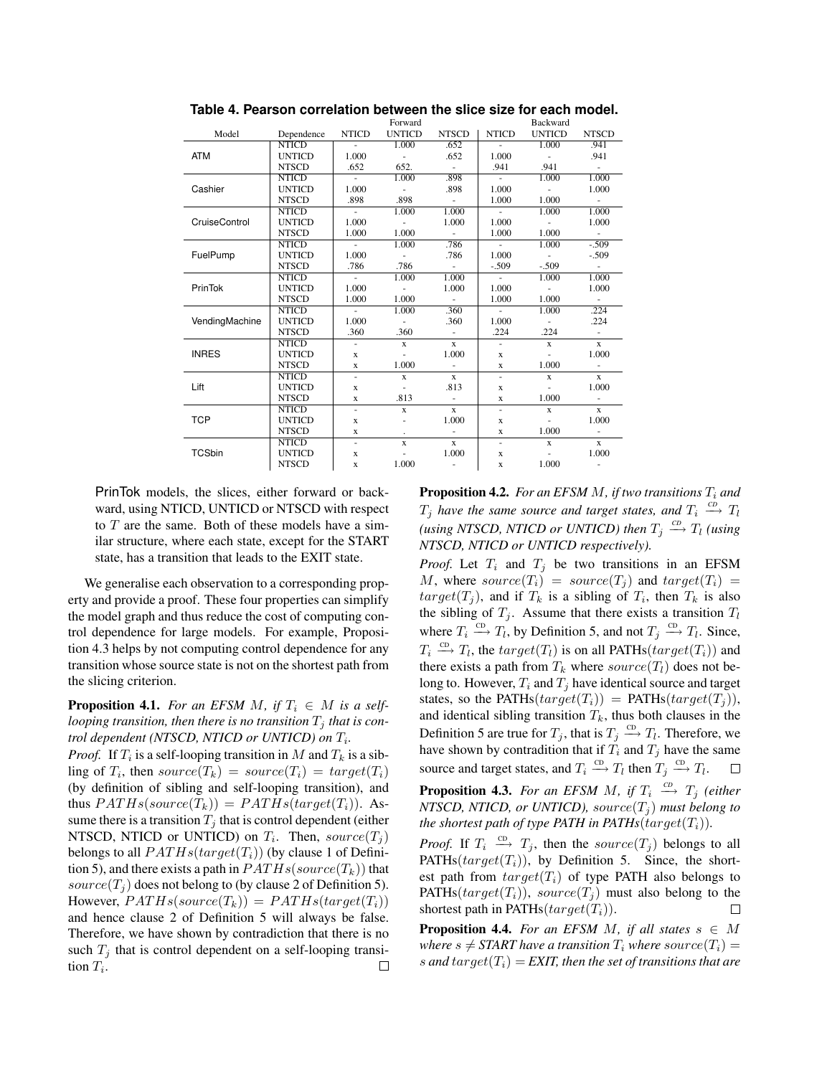|                |               | Forward                  |                          |                          | Backward       |                          |                          |  |
|----------------|---------------|--------------------------|--------------------------|--------------------------|----------------|--------------------------|--------------------------|--|
| Model          | Dependence    | <b>NTICD</b>             | <b>UNTICD</b>            | <b>NTSCD</b>             | <b>NTICD</b>   | <b>UNTICD</b>            | <b>NTSCD</b>             |  |
|                | <b>NTICD</b>  | $\overline{\phantom{a}}$ | 1.000                    | .652                     | $\sim$         | 1.000                    | .941                     |  |
| <b>ATM</b>     | <b>UNTICD</b> | 1.000                    | $\overline{\phantom{a}}$ | .652                     | 1.000          | $\sim$                   | .941                     |  |
|                | <b>NTSCD</b>  | .652                     | 652.                     | $\sim$                   | .941           | .941                     | $\sim$                   |  |
|                | <b>NTICD</b>  | $\sim$                   | 1.000                    | .898                     | $\sim$         | 1.000                    | 1.000                    |  |
| Cashier        | <b>UNTICD</b> | 1.000                    | $\sim$                   | .898                     | 1.000          | ä,                       | 1.000                    |  |
|                | <b>NTSCD</b>  | .898                     | .898                     | $\sim$                   | 1.000          | 1.000                    | $\blacksquare$           |  |
|                | <b>NTICD</b>  | $\sim$                   | 1.000                    | 1.000                    | $\sim$         | 1.000                    | 1.000                    |  |
| CruiseControl  | <b>UNTICD</b> | 1.000                    | ÷.                       | 1.000                    | 1.000          | $\sim$                   | 1.000                    |  |
|                | <b>NTSCD</b>  | 1.000                    | 1.000                    | $\sim$                   | 1.000          | 1.000                    | $\sim$                   |  |
|                | <b>NTICD</b>  | $\omega$                 | 1.000                    | .786                     | $\sim$         | 1.000                    | $-0.509$                 |  |
| FuelPump       | <b>UNTICD</b> | 1.000                    |                          | .786                     | 1.000          | $\overline{\phantom{a}}$ | $-.509$                  |  |
|                | <b>NTSCD</b>  | .786                     | .786                     | $\sim$                   | $-.509$        | $-.509$                  | $\sim$                   |  |
|                | <b>NTICD</b>  | $\sim$                   | 1.000                    | 1.000                    | $\sim$         | 1.000                    | 1.000                    |  |
| PrinTok        | <b>UNTICD</b> | 1.000                    | ÷                        | 1.000                    | 1.000          | ÷.                       | 1.000                    |  |
|                | <b>NTSCD</b>  | 1.000                    | 1.000                    | $\sim$                   | 1.000          | 1.000                    | $\blacksquare$           |  |
|                | <b>NTICD</b>  | ä,                       | 1.000                    | .360                     | $\sim$         | 1.000                    | .224                     |  |
| VendingMachine | <b>UNTICD</b> | 1.000                    |                          | .360                     | 1.000          |                          | .224                     |  |
|                | <b>NTSCD</b>  | .360                     | .360                     | $\overline{\phantom{a}}$ | .224           | .224                     | $\overline{\phantom{a}}$ |  |
|                | <b>NTICD</b>  | $\overline{\phantom{a}}$ | $\mathbf{x}$             | $\mathbf{x}$             | ÷.             | $\overline{\mathbf{x}}$  | $\mathbf{x}$             |  |
| <b>INRES</b>   | <b>UNTICD</b> | X                        | $\sim$                   | 1.000                    | $\mathbf x$    | ÷.                       | 1.000                    |  |
|                | <b>NTSCD</b>  | $\mathbf{x}$             | 1.000                    | $\overline{\phantom{a}}$ | X              | 1.000                    | $\overline{\phantom{a}}$ |  |
|                | <b>NTICD</b>  | $\blacksquare$           | $\mathbf{x}$             | $\mathbf{x}$             | $\blacksquare$ | $\mathbf{x}$             | $\mathbf{x}$             |  |
| Lift           | <b>UNTICD</b> | x                        |                          | .813                     | $\mathbf X$    |                          | 1.000                    |  |
|                | <b>NTSCD</b>  | X                        | .813                     | $\overline{\phantom{a}}$ | $\mathbf x$    | 1.000                    | $\overline{\phantom{a}}$ |  |
|                | <b>NTICD</b>  | ÷.                       | $\mathbf{x}$             | $\mathbf{x}$             | ÷.             | $\mathbf{x}$             | $\mathbf{x}$             |  |
| <b>TCP</b>     | <b>UNTICD</b> | x                        | ٠                        | 1.000                    | $\mathbf x$    | $\sim$                   | 1.000                    |  |
|                | <b>NTSCD</b>  | X                        |                          | $\blacksquare$           | X              | 1.000                    | $\overline{\phantom{a}}$ |  |
|                | <b>NTICD</b>  | $\blacksquare$           | $\mathbf{x}$             | $\mathbf{x}$             | $\blacksquare$ | $\mathbf{x}$             | $\mathbf{x}$             |  |
| <b>TCSbin</b>  | <b>UNTICD</b> | $\mathbf x$              |                          | 1.000                    | $\mathbf x$    |                          | 1.000                    |  |
|                | <b>NTSCD</b>  | X                        | 1.000                    | $\overline{\phantom{a}}$ | $\mathbf x$    | 1.000                    | $\overline{\phantom{m}}$ |  |

**Table 4. Pearson correlation between the slice size for each model.**

PrinTok models, the slices, either forward or backward, using NTICD, UNTICD or NTSCD with respect to  $T$  are the same. Both of these models have a similar structure, where each state, except for the START state, has a transition that leads to the EXIT state.

We generalise each observation to a corresponding property and provide a proof. These four properties can simplify the model graph and thus reduce the cost of computing control dependence for large models. For example, Proposition 4.3 helps by not computing control dependence for any transition whose source state is not on the shortest path from the slicing criterion.

**Proposition 4.1.** *For an EFSM M, if*  $T_i \in M$  *is a selflooping transition, then there is no transition*  $T_i$  *that is control dependent (NTSCD, NTICD or UNTICD) on* T<sup>i</sup> *.*

*Proof.* If  $T_i$  is a self-looping transition in M and  $T_k$  is a sibling of  $T_i$ , then  $source(T_k) = source(T_i) = target(T_i)$ (by definition of sibling and self-looping transition), and thus  $PATHs(source(T_k)) = PATHs(target(T_i))$ . Assume there is a transition  $T_i$  that is control dependent (either NTSCD, NTICD or UNTICD) on  $T_i$ . Then,  $source(T_j)$ belongs to all  $PATHs(target(T_i))$  (by clause 1 of Definition 5), and there exists a path in  $PATHs(source(T_k))$  that source( $T_i$ ) does not belong to (by clause 2 of Definition 5). However,  $PATHs(source(T_k)) = PATHs(target(T_i))$ and hence clause 2 of Definition 5 will always be false. Therefore, we have shown by contradiction that there is no such  $T_i$  that is control dependent on a self-looping transition  $T_i$ .  $\Box$  **Proposition 4.2.** *For an EFSM M, if two transitions*  $T_i$  *and*  $T_j$  have the same source and target states, and  $T_i \, \stackrel{\text{\tiny{CD}}}{\longrightarrow} \, T_l$ (using NTSCD, NTICD or UNTICD) then  $T_j \stackrel{\text{\tiny{CD}}}{\longrightarrow} T_l$  (using *NTSCD, NTICD or UNTICD respectively).*

*Proof.* Let  $T_i$  and  $T_j$  be two transitions in an EFSM M, where  $source(T_i) = source(T_j)$  and  $target(T_i) =$  $target(T_j)$ , and if  $T_k$  is a sibling of  $T_i$ , then  $T_k$  is also the sibling of  $T_j$ . Assume that there exists a transition  $T_l$ where  $T_i \xrightarrow{\text{CD}} T_l$ , by Definition 5, and not  $T_j \xrightarrow{\text{CD}} T_l$ . Since,  $T_i \stackrel{\text{CD}}{\longrightarrow} T_l$ , the  $target(T_l)$  is on all PATHs $(target(T_i))$  and there exists a path from  $T_k$  where  $source(T_l)$  does not belong to. However,  $T_i$  and  $T_j$  have identical source and target states, so the PATHs $(target(T_i))$  = PATHs $(target(T_j))$ , and identical sibling transition  $T_k$ , thus both clauses in the Definition 5 are true for  $T_j$ , that is  $T_j \stackrel{\text{CD}}{\longrightarrow} T_l$ . Therefore, we have shown by contradition that if  $\tilde{T}_i$  and  $T_j$  have the same source and target states, and  $T_i \stackrel{\text{CD}}{\longrightarrow} T_l$  then  $T_j \stackrel{\text{CD}}{\longrightarrow} T_l$ .  $\Box$ 

**Proposition 4.3.** For an EFSM M, if  $T_i \stackrel{CD}{\longrightarrow} T_j$  (either *NTSCD, NTICD, or UNTICD), source* $(T_i)$  *must belong to the shortest path of type PATH in PATHs* $(target(T_i))$ *.* 

*Proof.* If  $T_i \stackrel{\text{CD}}{\longrightarrow} T_j$ , then the source $(T_j)$  belongs to all PATHs( $target(T_i)$ ), by Definition 5. Since, the shortest path from  $target(T_i)$  of type PATH also belongs to PATHs( $target(T_i)$ ), source(T<sub>i</sub>) must also belong to the shortest path in PATHs $(target(T_i))$ .  $\Box$ 

**Proposition 4.4.** *For an EFSM M, if all states*  $s \in M$ *where*  $s \neq \text{START}$  have a transition  $T_i$  where  $source(T_i)$ s and  $target(T_i) = EXIT$ , then the set of transitions that are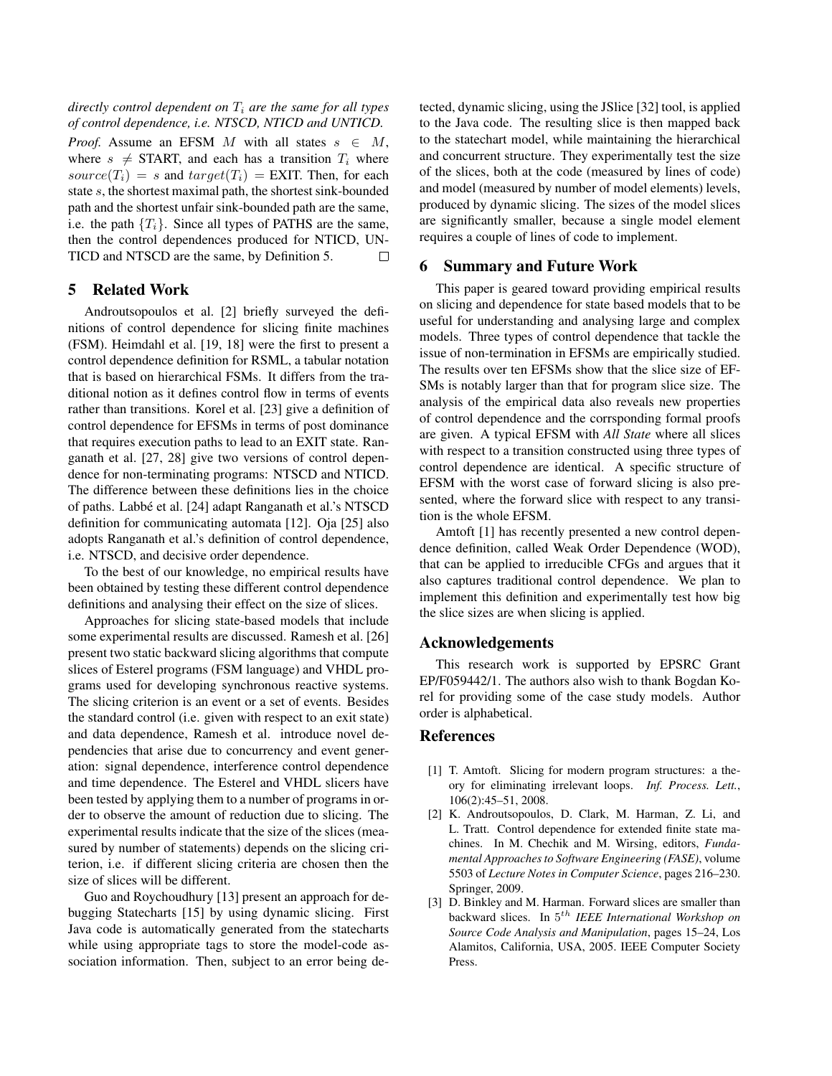## *directly control dependent on*  $T_i$  *are the same for all types of control dependence, i.e. NTSCD, NTICD and UNTICD.*

*Proof.* Assume an EFSM M with all states  $s \in M$ , where  $s \neq$  START, and each has a transition  $T_i$  where  $source(T_i) = s$  and  $target(T_i) = EXIT$ . Then, for each state s, the shortest maximal path, the shortest sink-bounded path and the shortest unfair sink-bounded path are the same, i.e. the path  ${T<sub>i</sub>}$ . Since all types of PATHS are the same, then the control dependences produced for NTICD, UN-TICD and NTSCD are the same, by Definition 5.  $\Box$ 

# 5 Related Work

Androutsopoulos et al. [2] briefly surveyed the definitions of control dependence for slicing finite machines (FSM). Heimdahl et al. [19, 18] were the first to present a control dependence definition for RSML, a tabular notation that is based on hierarchical FSMs. It differs from the traditional notion as it defines control flow in terms of events rather than transitions. Korel et al. [23] give a definition of control dependence for EFSMs in terms of post dominance that requires execution paths to lead to an EXIT state. Ranganath et al. [27, 28] give two versions of control dependence for non-terminating programs: NTSCD and NTICD. The difference between these definitions lies in the choice of paths. Labbé et al. [24] adapt Ranganath et al.'s NTSCD definition for communicating automata [12]. Oja [25] also adopts Ranganath et al.'s definition of control dependence, i.e. NTSCD, and decisive order dependence.

To the best of our knowledge, no empirical results have been obtained by testing these different control dependence definitions and analysing their effect on the size of slices.

Approaches for slicing state-based models that include some experimental results are discussed. Ramesh et al. [26] present two static backward slicing algorithms that compute slices of Esterel programs (FSM language) and VHDL programs used for developing synchronous reactive systems. The slicing criterion is an event or a set of events. Besides the standard control (i.e. given with respect to an exit state) and data dependence, Ramesh et al. introduce novel dependencies that arise due to concurrency and event generation: signal dependence, interference control dependence and time dependence. The Esterel and VHDL slicers have been tested by applying them to a number of programs in order to observe the amount of reduction due to slicing. The experimental results indicate that the size of the slices (measured by number of statements) depends on the slicing criterion, i.e. if different slicing criteria are chosen then the size of slices will be different.

Guo and Roychoudhury [13] present an approach for debugging Statecharts [15] by using dynamic slicing. First Java code is automatically generated from the statecharts while using appropriate tags to store the model-code association information. Then, subject to an error being detected, dynamic slicing, using the JSlice [32] tool, is applied to the Java code. The resulting slice is then mapped back to the statechart model, while maintaining the hierarchical and concurrent structure. They experimentally test the size of the slices, both at the code (measured by lines of code) and model (measured by number of model elements) levels, produced by dynamic slicing. The sizes of the model slices are significantly smaller, because a single model element requires a couple of lines of code to implement.

# 6 Summary and Future Work

This paper is geared toward providing empirical results on slicing and dependence for state based models that to be useful for understanding and analysing large and complex models. Three types of control dependence that tackle the issue of non-termination in EFSMs are empirically studied. The results over ten EFSMs show that the slice size of EF-SMs is notably larger than that for program slice size. The analysis of the empirical data also reveals new properties of control dependence and the corrsponding formal proofs are given. A typical EFSM with *All State* where all slices with respect to a transition constructed using three types of control dependence are identical. A specific structure of EFSM with the worst case of forward slicing is also presented, where the forward slice with respect to any transition is the whole EFSM.

Amtoft [1] has recently presented a new control dependence definition, called Weak Order Dependence (WOD), that can be applied to irreducible CFGs and argues that it also captures traditional control dependence. We plan to implement this definition and experimentally test how big the slice sizes are when slicing is applied.

# Acknowledgements

This research work is supported by EPSRC Grant EP/F059442/1. The authors also wish to thank Bogdan Korel for providing some of the case study models. Author order is alphabetical.

# References

- [1] T. Amtoft. Slicing for modern program structures: a theory for eliminating irrelevant loops. *Inf. Process. Lett.*, 106(2):45–51, 2008.
- [2] K. Androutsopoulos, D. Clark, M. Harman, Z. Li, and L. Tratt. Control dependence for extended finite state machines. In M. Chechik and M. Wirsing, editors, *Fundamental Approaches to Software Engineering (FASE)*, volume 5503 of *Lecture Notes in Computer Science*, pages 216–230. Springer, 2009.
- [3] D. Binkley and M. Harman. Forward slices are smaller than backward slices. In 5 th *IEEE International Workshop on Source Code Analysis and Manipulation*, pages 15–24, Los Alamitos, California, USA, 2005. IEEE Computer Society Press.